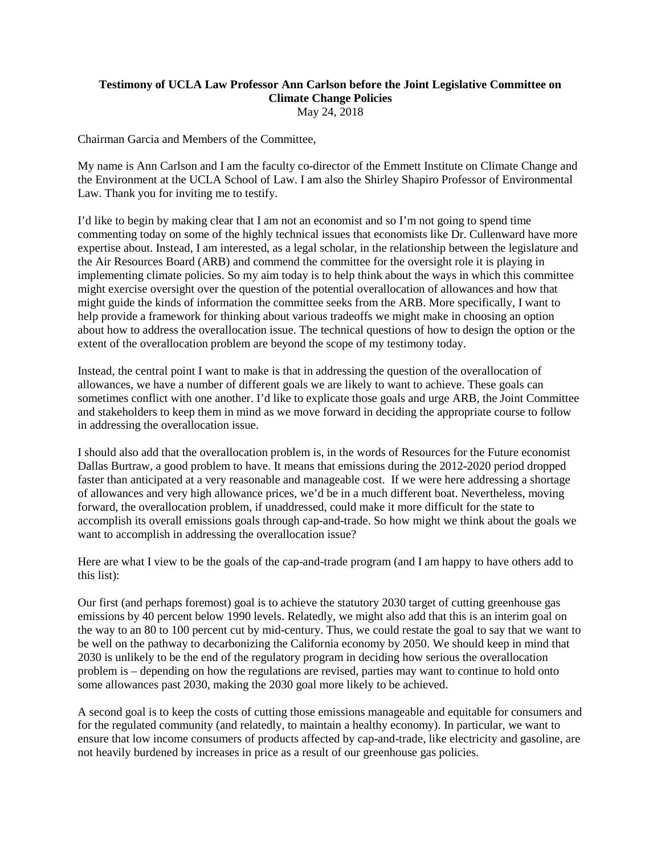## **Testimony of UCLA Law Professor Ann Carlson before the Joint Legislative Committee on Climate Change Policies** May 24, 2018

Chairman Garcia and Members of the Committee,

My name is Ann Carlson and I am the faculty co-director of the Emmett Institute on Climate Change and the Environment at the UCLA School of Law. I am also the Shirley Shapiro Professor of Environmental Law. Thank you for inviting me to testify.

I'd like to begin by making clear that I am not an economist and so I'm not going to spend time commenting today on some of the highly technical issues that economists like Dr. Cullenward have more expertise about. Instead, I am interested, as a legal scholar, in the relationship between the legislature and the Air Resources Board (ARB) and commend the committee for the oversight role it is playing in implementing climate policies. So my aim today is to help think about the ways in which this committee might exercise oversight over the question of the potential overallocation of allowances and how that might guide the kinds of information the committee seeks from the ARB. More specifically, I want to help provide a framework for thinking about various tradeoffs we might make in choosing an option about how to address the overallocation issue. The technical questions of how to design the option or the extent of the overallocation problem are beyond the scope of my testimony today.

Instead, the central point I want to make is that in addressing the question of the overallocation of allowances, we have a number of different goals we are likely to want to achieve. These goals can sometimes conflict with one another. I'd like to explicate those goals and urge ARB, the Joint Committee and stakeholders to keep them in mind as we move forward in deciding the appropriate course to follow in addressing the overallocation issue.

I should also add that the overallocation problem is, in the words of Resources for the Future economist Dallas Burtraw, a good problem to have. It means that emissions during the 2012-2020 period dropped faster than anticipated at a very reasonable and manageable cost. If we were here addressing a shortage of allowances and very high allowance prices, we'd be in a much different boat. Nevertheless, moving forward, the overallocation problem, if unaddressed, could make it more difficult for the state to accomplish its overall emissions goals through cap-and-trade. So how might we think about the goals we want to accomplish in addressing the overallocation issue?

Here are what I view to be the goals of the cap-and-trade program (and I am happy to have others add to this list):

Our first (and perhaps foremost) goal is to achieve the statutory 2030 target of cutting greenhouse gas emissions by 40 percent below 1990 levels. Relatedly, we might also add that this is an interim goal on the way to an 80 to 100 percent cut by mid-century. Thus, we could restate the goal to say that we want to be well on the pathway to decarbonizing the California economy by 2050. We should keep in mind that 2030 is unlikely to be the end of the regulatory program in deciding how serious the overallocation problem is – depending on how the regulations are revised, parties may want to continue to hold onto some allowances past 2030, making the 2030 goal more likely to be achieved.

A second goal is to keep the costs of cutting those emissions manageable and equitable for consumers and for the regulated community (and relatedly, to maintain a healthy economy). In particular, we want to ensure that low income consumers of products affected by cap-and-trade, like electricity and gasoline, are not heavily burdened by increases in price as a result of our greenhouse gas policies.